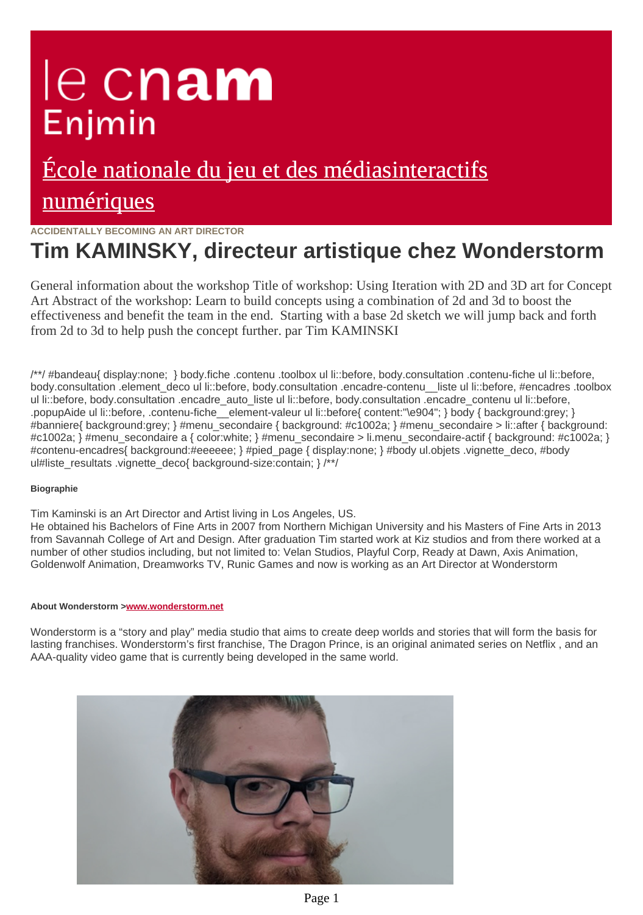# le cnam Enjmin

## [École nationale du jeu et des médiasinteractifs](https://enjmin.cnam.fr/) numériques

**ACCIDENTALLY BECOMING AN ART DIRECTOR**

## **Tim KAMINSKY, directeur artistique chez Wonderstorm**

General information about the workshop Title of workshop: Using Iteration with 2D and 3D art for Concept Art
Abstract of the workshop: Learn to build concepts using a combination of 2d and 3d to boost the effectiveness and benefit the team in the end. 
Starting with a base 2d sketch we will jump back and forth from 2d to 3d to help push the concept further. par Tim KAMINSKI

/\*\*/ #bandeau{ display:none; } body.fiche .contenu .toolbox ul li::before, body.consultation .contenu-fiche ul li::before, body.consultation .element deco ul li::before, body.consultation .encadre-contenu liste ul li::before, #encadres .toolbox ul li::before, body.consultation .encadre\_auto\_liste ul li::before, body.consultation .encadre\_contenu ul li::before, .popupAide ul li::before, .contenu-fiche\_element-valeur ul li::before{ content:"\e904"; } body { background:grey; } #banniere{ background:grey; } #menu\_secondaire { background: #c1002a; } #menu\_secondaire > li::after { backgroun #c1002a; } #menu\_secondaire a { color:white; } #menu\_secondaire > li.menu\_secondaire-actif { background: #c1002 #contenu-encadres{ background:#eeeeee; } #pied page { display:none; } #body ul.objets .vignette\_deco, #body ul#liste\_resultats .vignette\_deco{\_background-size:contain; } /\*/

### **Biographie**

Tim Kaminski is an Art Director and Artist living in Los Angeles, US.

He obtained his Bachelors of Fine Arts in 2007 from Northern Michigan University and his Masters of Fine Arts in 2013 from Savannah College of Art and Design. After graduation Tim started work at Kiz studios and from there worked at a number of other studios including, but not limited to: Velan Studios, Playful Corp, Ready at Dawn, Axis Animation, Goldenwolf Animation, Dreamworks TV, Runic Games and now is working as an Art Director at Wonderstorm

#### **About Wonderstorm >[www.wonderstorm.net](http://ajv.enjmin.fr/www.wonderstorm.net)**

Wonderstorm is a "story and play" media studio that aims to create deep worlds and stories that will form the basis for lasting franchises. Wonderstorm's first franchise, The Dragon Prince, is an original animated series on Netflix , and an AAA-quality video game that is currently being developed in the same world.